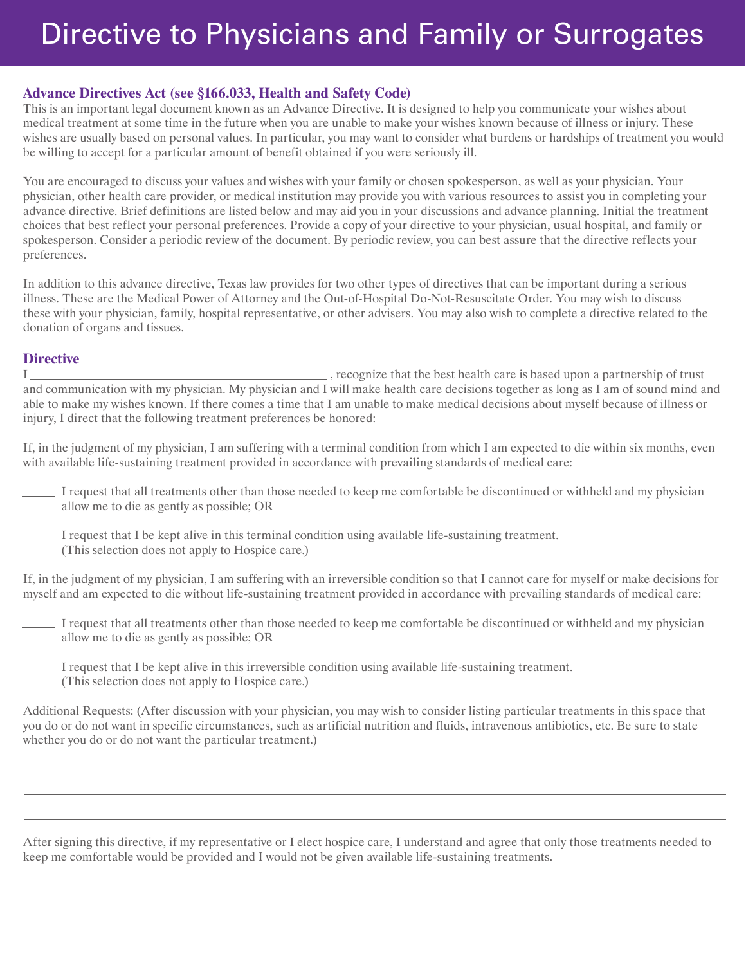## Directive to Physicians and Family or Surrogates

## **Advance Directives Act (see §166.033, Health and Safety Code)**

This is an important legal document known as an Advance Directive. It is designed to help you communicate your wishes about medical treatment at some time in the future when you are unable to make your wishes known because of illness or injury. These wishes are usually based on personal values. In particular, you may want to consider what burdens or hardships of treatment you would be willing to accept for a particular amount of benefit obtained if you were seriously ill.

You are encouraged to discuss your values and wishes with your family or chosen spokesperson, as well as your physician. Your physician, other health care provider, or medical institution may provide you with various resources to assist you in completing your advance directive. Brief definitions are listed below and may aid you in your discussions and advance planning. Initial the treatment choices that best reflect your personal preferences. Provide a copy of your directive to your physician, usual hospital, and family or spokesperson. Consider a periodic review of the document. By periodic review, you can best assure that the directive reflects your preferences.

In addition to this advance directive, Texas law provides for two other types of directives that can be important during a serious illness. These are the Medical Power of Attorney and the Out-of-Hospital Do-Not-Resuscitate Order. You may wish to discuss these with your physician, family, hospital representative, or other advisers. You may also wish to complete a directive related to the donation of organs and tissues.

## **Directive**

I  $\frac{1}{2}$ , recognize that the best health care is based upon a partnership of trust and communication with my physician. My physician and I will make health care decisions together as long as I am of sound mind and able to make my wishes known. If there comes a time that I am unable to make medical decisions about myself because of illness or injury, I direct that the following treatment preferences be honored:

If, in the judgment of my physician, I am suffering with a terminal condition from which I am expected to die within six months, even with available life-sustaining treatment provided in accordance with prevailing standards of medical care:

- I request that all treatments other than those needed to keep me comfortable be discontinued or withheld and my physician allow me to die as gently as possible; OR
- I request that I be kept alive in this terminal condition using available life-sustaining treatment. (This selection does not apply to Hospice care.)

If, in the judgment of my physician, I am suffering with an irreversible condition so that I cannot care for myself or make decisions for myself and am expected to die without life-sustaining treatment provided in accordance with prevailing standards of medical care:

- I request that all treatments other than those needed to keep me comfortable be discontinued or withheld and my physician allow me to die as gently as possible; OR
- I request that I be kept alive in this irreversible condition using available life-sustaining treatment. (This selection does not apply to Hospice care.)

Additional Requests: (After discussion with your physician, you may wish to consider listing particular treatments in this space that you do or do not want in specific circumstances, such as artificial nutrition and fluids, intravenous antibiotics, etc. Be sure to state whether you do or do not want the particular treatment.)

After signing this directive, if my representative or I elect hospice care, I understand and agree that only those treatments needed to keep me comfortable would be provided and I would not be given available life-sustaining treatments.